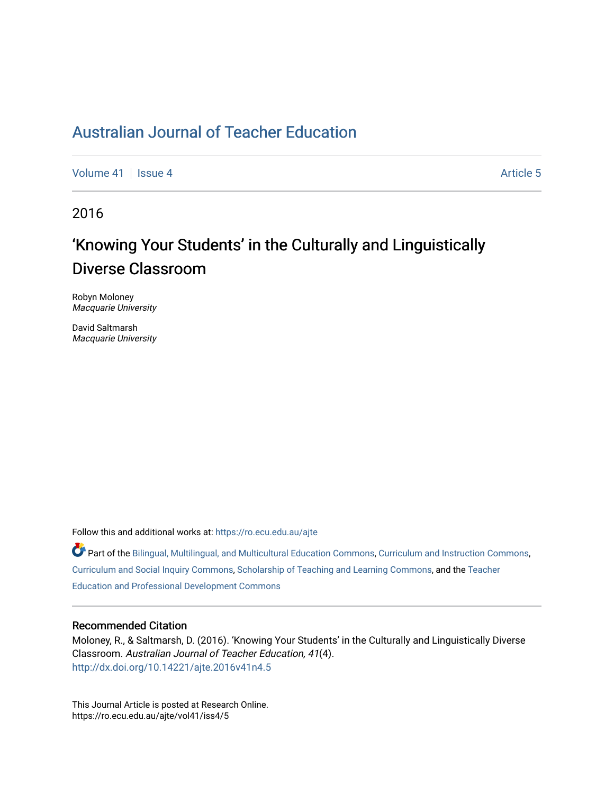## [Australian Journal of Teacher Education](https://ro.ecu.edu.au/ajte)

[Volume 41](https://ro.ecu.edu.au/ajte/vol41) | [Issue 4](https://ro.ecu.edu.au/ajte/vol41/iss4) Article 5

2016

# 'Knowing Your Students' in the Culturally and Linguistically Diverse Classroom

Robyn Moloney Macquarie University

David Saltmarsh Macquarie University

Follow this and additional works at: [https://ro.ecu.edu.au/ajte](https://ro.ecu.edu.au/ajte?utm_source=ro.ecu.edu.au%2Fajte%2Fvol41%2Fiss4%2F5&utm_medium=PDF&utm_campaign=PDFCoverPages) 

Part of the [Bilingual, Multilingual, and Multicultural Education Commons,](http://network.bepress.com/hgg/discipline/785?utm_source=ro.ecu.edu.au%2Fajte%2Fvol41%2Fiss4%2F5&utm_medium=PDF&utm_campaign=PDFCoverPages) [Curriculum and Instruction Commons,](http://network.bepress.com/hgg/discipline/786?utm_source=ro.ecu.edu.au%2Fajte%2Fvol41%2Fiss4%2F5&utm_medium=PDF&utm_campaign=PDFCoverPages) [Curriculum and Social Inquiry Commons,](http://network.bepress.com/hgg/discipline/1038?utm_source=ro.ecu.edu.au%2Fajte%2Fvol41%2Fiss4%2F5&utm_medium=PDF&utm_campaign=PDFCoverPages) [Scholarship of Teaching and Learning Commons,](http://network.bepress.com/hgg/discipline/1328?utm_source=ro.ecu.edu.au%2Fajte%2Fvol41%2Fiss4%2F5&utm_medium=PDF&utm_campaign=PDFCoverPages) and the [Teacher](http://network.bepress.com/hgg/discipline/803?utm_source=ro.ecu.edu.au%2Fajte%2Fvol41%2Fiss4%2F5&utm_medium=PDF&utm_campaign=PDFCoverPages)  [Education and Professional Development Commons](http://network.bepress.com/hgg/discipline/803?utm_source=ro.ecu.edu.au%2Fajte%2Fvol41%2Fiss4%2F5&utm_medium=PDF&utm_campaign=PDFCoverPages) 

#### Recommended Citation

Moloney, R., & Saltmarsh, D. (2016). 'Knowing Your Students' in the Culturally and Linguistically Diverse Classroom. Australian Journal of Teacher Education, 41(4). <http://dx.doi.org/10.14221/ajte.2016v41n4.5>

This Journal Article is posted at Research Online. https://ro.ecu.edu.au/ajte/vol41/iss4/5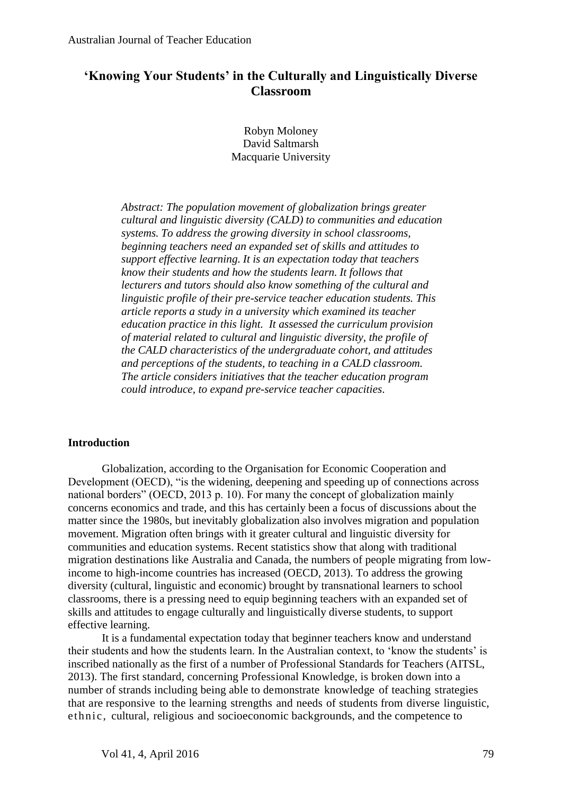## **'Knowing Your Students' in the Culturally and Linguistically Diverse Classroom**

Robyn Moloney David Saltmarsh Macquarie University

*Abstract: The population movement of globalization brings greater cultural and linguistic diversity (CALD) to communities and education systems. To address the growing diversity in school classrooms, beginning teachers need an expanded set of skills and attitudes to support effective learning. It is an expectation today that teachers know their students and how the students learn. It follows that lecturers and tutors should also know something of the cultural and linguistic profile of their pre-service teacher education students. This article reports a study in a university which examined its teacher education practice in this light. It assessed the curriculum provision of material related to cultural and linguistic diversity, the profile of the CALD characteristics of the undergraduate cohort, and attitudes and perceptions of the students, to teaching in a CALD classroom. The article considers initiatives that the teacher education program could introduce, to expand pre-service teacher capacities*.

## **Introduction**

Globalization, according to the Organisation for Economic Cooperation and Development (OECD), "is the widening, deepening and speeding up of connections across national borders" (OECD, 2013 p. 10). For many the concept of globalization mainly concerns economics and trade, and this has certainly been a focus of discussions about the matter since the 1980s, but inevitably globalization also involves migration and population movement. Migration often brings with it greater cultural and linguistic diversity for communities and education systems. Recent statistics show that along with traditional migration destinations like Australia and Canada, the numbers of people migrating from lowincome to high-income countries has increased (OECD, 2013). To address the growing diversity (cultural, linguistic and economic) brought by transnational learners to school classrooms, there is a pressing need to equip beginning teachers with an expanded set of skills and attitudes to engage culturally and linguistically diverse students, to support effective learning.

It is a fundamental expectation today that beginner teachers know and understand their students and how the students learn. In the Australian context, to 'know the students' is inscribed nationally as the first of a number of Professional Standards for Teachers (AITSL, 2013). The first standard, concerning Professional Knowledge, is broken down into a number of strands including being able to demonstrate knowledge of teaching strategies that are responsive to the learning strengths and needs of students from diverse linguistic, ethnic, cultural, religious and socioeconomic backgrounds, and the competence to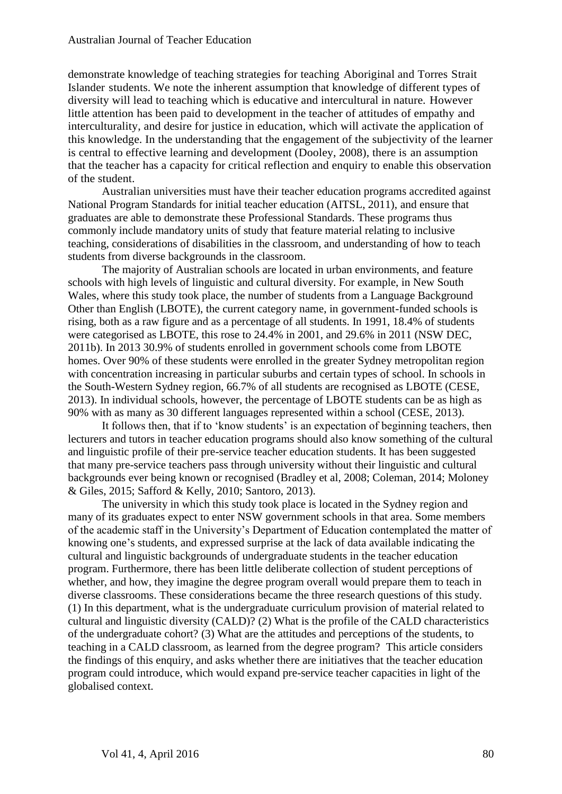demonstrate knowledge of teaching strategies for teaching Aboriginal and Torres Strait Islander students. We note the inherent assumption that knowledge of different types of diversity will lead to teaching which is educative and intercultural in nature. However little attention has been paid to development in the teacher of attitudes of empathy and interculturality, and desire for justice in education, which will activate the application of this knowledge. In the understanding that the engagement of the subjectivity of the learner is central to effective learning and development (Dooley, 2008), there is an assumption that the teacher has a capacity for critical reflection and enquiry to enable this observation of the student.

Australian universities must have their teacher education programs accredited against National Program Standards for initial teacher education (AITSL, 2011), and ensure that graduates are able to demonstrate these Professional Standards. These programs thus commonly include mandatory units of study that feature material relating to inclusive teaching, considerations of disabilities in the classroom, and understanding of how to teach students from diverse backgrounds in the classroom.

The majority of Australian schools are located in urban environments, and feature schools with high levels of linguistic and cultural diversity. For example, in New South Wales, where this study took place, the number of students from a Language Background Other than English (LBOTE), the current category name, in government-funded schools is rising, both as a raw figure and as a percentage of all students. In 1991, 18.4% of students were categorised as LBOTE, this rose to 24.4% in 2001, and 29.6% in 2011 (NSW DEC, 2011b). In 2013 30.9% of students enrolled in government schools come from LBOTE homes. Over 90% of these students were enrolled in the greater Sydney metropolitan region with concentration increasing in particular suburbs and certain types of school. In schools in the South-Western Sydney region, 66.7% of all students are recognised as LBOTE (CESE, 2013). In individual schools, however, the percentage of LBOTE students can be as high as 90% with as many as 30 different languages represented within a school (CESE, 2013).

It follows then, that if to 'know students' is an expectation of beginning teachers, then lecturers and tutors in teacher education programs should also know something of the cultural and linguistic profile of their pre-service teacher education students. It has been suggested that many pre-service teachers pass through university without their linguistic and cultural backgrounds ever being known or recognised (Bradley et al, 2008; Coleman, 2014; Moloney & Giles, 2015; Safford & Kelly, 2010; Santoro, 2013).

The university in which this study took place is located in the Sydney region and many of its graduates expect to enter NSW government schools in that area. Some members of the academic staff in the University's Department of Education contemplated the matter of knowing one's students, and expressed surprise at the lack of data available indicating the cultural and linguistic backgrounds of undergraduate students in the teacher education program. Furthermore, there has been little deliberate collection of student perceptions of whether, and how, they imagine the degree program overall would prepare them to teach in diverse classrooms. These considerations became the three research questions of this study. (1) In this department, what is the undergraduate curriculum provision of material related to cultural and linguistic diversity (CALD)? (2) What is the profile of the CALD characteristics of the undergraduate cohort? (3) What are the attitudes and perceptions of the students, to teaching in a CALD classroom, as learned from the degree program? This article considers the findings of this enquiry, and asks whether there are initiatives that the teacher education program could introduce, which would expand pre-service teacher capacities in light of the globalised context.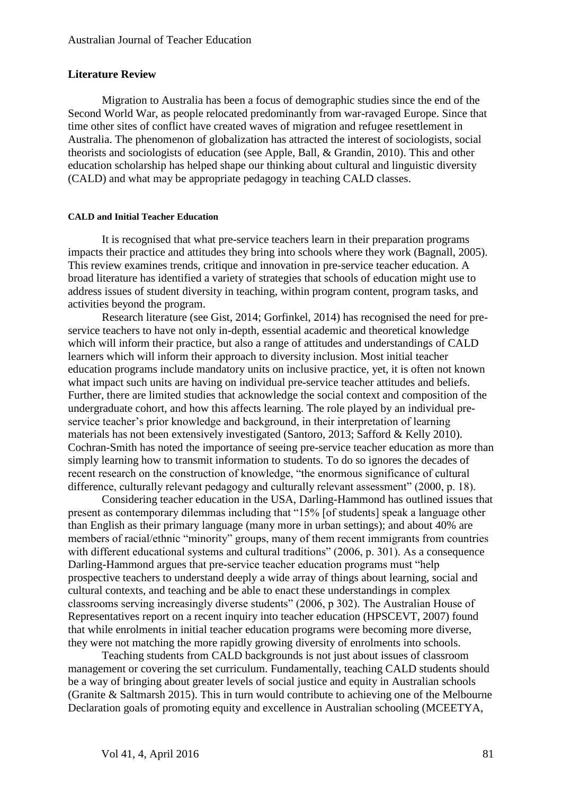## **Literature Review**

Migration to Australia has been a focus of demographic studies since the end of the Second World War, as people relocated predominantly from war-ravaged Europe. Since that time other sites of conflict have created waves of migration and refugee resettlement in Australia. The phenomenon of globalization has attracted the interest of sociologists, social theorists and sociologists of education (see Apple, Ball, & Grandin, 2010). This and other education scholarship has helped shape our thinking about cultural and linguistic diversity (CALD) and what may be appropriate pedagogy in teaching CALD classes.

#### **CALD and Initial Teacher Education**

It is recognised that what pre-service teachers learn in their preparation programs impacts their practice and attitudes they bring into schools where they work (Bagnall, 2005). This review examines trends, critique and innovation in pre-service teacher education. A broad literature has identified a variety of strategies that schools of education might use to address issues of student diversity in teaching, within program content, program tasks, and activities beyond the program.

Research literature (see Gist, 2014; Gorfinkel, 2014) has recognised the need for preservice teachers to have not only in-depth, essential academic and theoretical knowledge which will inform their practice, but also a range of attitudes and understandings of CALD learners which will inform their approach to diversity inclusion. Most initial teacher education programs include mandatory units on inclusive practice, yet, it is often not known what impact such units are having on individual pre-service teacher attitudes and beliefs. Further, there are limited studies that acknowledge the social context and composition of the undergraduate cohort, and how this affects learning. The role played by an individual preservice teacher's prior knowledge and background, in their interpretation of learning materials has not been extensively investigated (Santoro, 2013; Safford & Kelly 2010). Cochran-Smith has noted the importance of seeing pre-service teacher education as more than simply learning how to transmit information to students. To do so ignores the decades of recent research on the construction of knowledge, "the enormous significance of cultural difference, culturally relevant pedagogy and culturally relevant assessment" (2000, p. 18).

Considering teacher education in the USA, Darling-Hammond has outlined issues that present as contemporary dilemmas including that "15% [of students] speak a language other than English as their primary language (many more in urban settings); and about 40% are members of racial/ethnic "minority" groups, many of them recent immigrants from countries with different educational systems and cultural traditions" (2006, p. 301). As a consequence Darling-Hammond argues that pre-service teacher education programs must "help prospective teachers to understand deeply a wide array of things about learning, social and cultural contexts, and teaching and be able to enact these understandings in complex classrooms serving increasingly diverse students" (2006, p 302). The Australian House of Representatives report on a recent inquiry into teacher education (HPSCEVT, 2007) found that while enrolments in initial teacher education programs were becoming more diverse, they were not matching the more rapidly growing diversity of enrolments into schools.

Teaching students from CALD backgrounds is not just about issues of classroom management or covering the set curriculum. Fundamentally, teaching CALD students should be a way of bringing about greater levels of social justice and equity in Australian schools (Granite & Saltmarsh 2015). This in turn would contribute to achieving one of the Melbourne Declaration goals of promoting equity and excellence in Australian schooling (MCEETYA,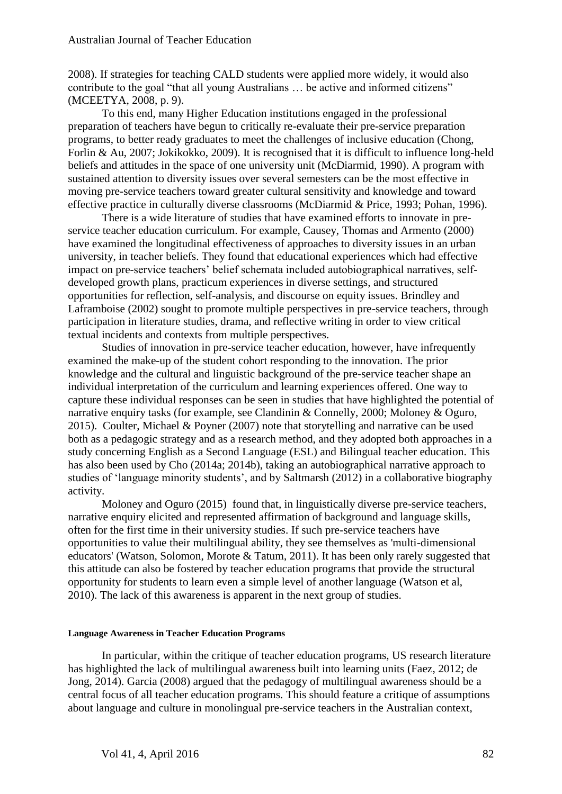2008). If strategies for teaching CALD students were applied more widely, it would also contribute to the goal "that all young Australians … be active and informed citizens" (MCEETYA, 2008, p. 9).

To this end, many Higher Education institutions engaged in the professional preparation of teachers have begun to critically re-evaluate their pre-service preparation programs, to better ready graduates to meet the challenges of inclusive education (Chong, Forlin & Au, 2007; Jokikokko, 2009). It is recognised that it is difficult to influence long-held beliefs and attitudes in the space of one university unit (McDiarmid, 1990). A program with sustained attention to diversity issues over several semesters can be the most effective in moving pre-service teachers toward greater cultural sensitivity and knowledge and toward effective practice in culturally diverse classrooms (McDiarmid & Price, 1993; Pohan, 1996).

There is a wide literature of studies that have examined efforts to innovate in preservice teacher education curriculum. For example, Causey, Thomas and Armento (2000) have examined the longitudinal effectiveness of approaches to diversity issues in an urban university, in teacher beliefs. They found that educational experiences which had effective impact on pre-service teachers' belief schemata included autobiographical narratives, selfdeveloped growth plans, practicum experiences in diverse settings, and structured opportunities for reflection, self-analysis, and discourse on equity issues. Brindley and Laframboise (2002) sought to promote multiple perspectives in pre-service teachers, through participation in literature studies, drama, and reflective writing in order to view critical textual incidents and contexts from multiple perspectives.

Studies of innovation in pre-service teacher education, however, have infrequently examined the make-up of the student cohort responding to the innovation. The prior knowledge and the cultural and linguistic background of the pre-service teacher shape an individual interpretation of the curriculum and learning experiences offered. One way to capture these individual responses can be seen in studies that have highlighted the potential of narrative enquiry tasks (for example, see Clandinin & Connelly, 2000; Moloney & Oguro, 2015). Coulter, Michael & Poyner (2007) note that storytelling and narrative can be used both as a pedagogic strategy and as a research method, and they adopted both approaches in a study concerning English as a Second Language (ESL) and Bilingual teacher education. This has also been used by Cho (2014a; 2014b), taking an autobiographical narrative approach to studies of 'language minority students', and by Saltmarsh (2012) in a collaborative biography activity.

Moloney and Oguro (2015) found that, in linguistically diverse pre-service teachers, narrative enquiry elicited and represented affirmation of background and language skills, often for the first time in their university studies. If such pre-service teachers have opportunities to value their multilingual ability, they see themselves as 'multi-dimensional educators' (Watson, Solomon, Morote & Tatum, 2011). It has been only rarely suggested that this attitude can also be fostered by teacher education programs that provide the structural opportunity for students to learn even a simple level of another language (Watson et al, 2010). The lack of this awareness is apparent in the next group of studies.

#### **Language Awareness in Teacher Education Programs**

In particular, within the critique of teacher education programs, US research literature has highlighted the lack of multilingual awareness built into learning units (Faez, 2012; de Jong, 2014). Garcia (2008) argued that the pedagogy of multilingual awareness should be a central focus of all teacher education programs. This should feature a critique of assumptions about language and culture in monolingual pre-service teachers in the Australian context,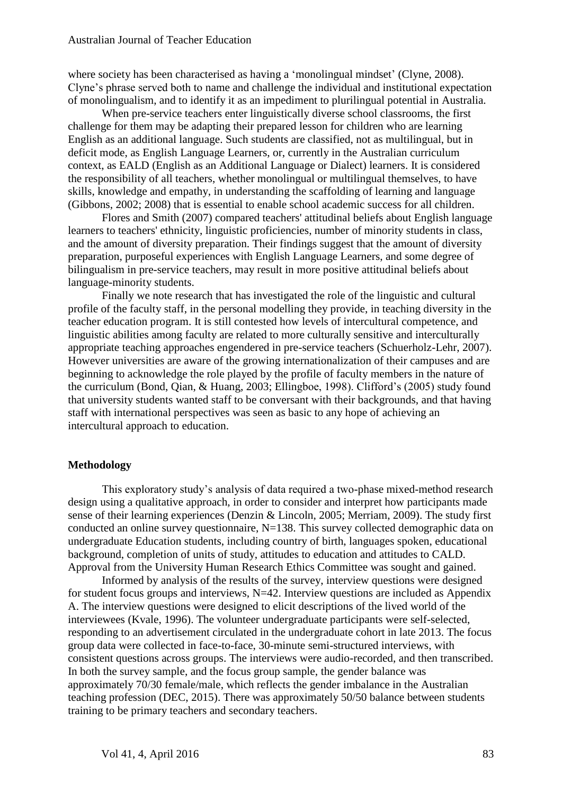where society has been characterised as having a 'monolingual mindset' (Clyne, 2008). Clyne's phrase served both to name and challenge the individual and institutional expectation of monolingualism, and to identify it as an impediment to plurilingual potential in Australia.

When pre-service teachers enter linguistically diverse school classrooms, the first challenge for them may be adapting their prepared lesson for children who are learning English as an additional language. Such students are classified, not as multilingual, but in deficit mode, as English Language Learners, or, currently in the Australian curriculum context, as EALD (English as an Additional Language or Dialect) learners. It is considered the responsibility of all teachers, whether monolingual or multilingual themselves, to have skills, knowledge and empathy, in understanding the scaffolding of learning and language (Gibbons, 2002; 2008) that is essential to enable school academic success for all children.

Flores and Smith (2007) compared teachers' attitudinal beliefs about English language learners to teachers' ethnicity, linguistic proficiencies, number of minority students in class, and the amount of diversity preparation. Their findings suggest that the amount of diversity preparation, purposeful experiences with English Language Learners, and some degree of bilingualism in pre-service teachers, may result in more positive attitudinal beliefs about language-minority students.

Finally we note research that has investigated the role of the linguistic and cultural profile of the faculty staff, in the personal modelling they provide, in teaching diversity in the teacher education program. It is still contested how levels of intercultural competence, and linguistic abilities among faculty are related to more culturally sensitive and interculturally appropriate teaching approaches engendered in pre-service teachers (Schuerholz-Lehr, 2007). However universities are aware of the growing internationalization of their campuses and are beginning to acknowledge the role played by the profile of faculty members in the nature of the curriculum (Bond, Qian, & Huang, 2003; Ellingboe, 1998). Clifford's (2005) study found that university students wanted staff to be conversant with their backgrounds, and that having staff with international perspectives was seen as basic to any hope of achieving an intercultural approach to education.

#### **Methodology**

This exploratory study's analysis of data required a two-phase mixed-method research design using a qualitative approach, in order to consider and interpret how participants made sense of their learning experiences (Denzin & Lincoln, 2005; Merriam, 2009). The study first conducted an online survey questionnaire, N=138. This survey collected demographic data on undergraduate Education students, including country of birth, languages spoken, educational background, completion of units of study, attitudes to education and attitudes to CALD. Approval from the University Human Research Ethics Committee was sought and gained.

Informed by analysis of the results of the survey, interview questions were designed for student focus groups and interviews,  $N=42$ . Interview questions are included as Appendix A. The interview questions were designed to elicit descriptions of the lived world of the interviewees (Kvale, 1996). The volunteer undergraduate participants were self-selected, responding to an advertisement circulated in the undergraduate cohort in late 2013. The focus group data were collected in face-to-face, 30-minute semi-structured interviews, with consistent questions across groups. The interviews were audio-recorded, and then transcribed. In both the survey sample, and the focus group sample, the gender balance was approximately 70/30 female/male, which reflects the gender imbalance in the Australian teaching profession (DEC, 2015). There was approximately 50/50 balance between students training to be primary teachers and secondary teachers.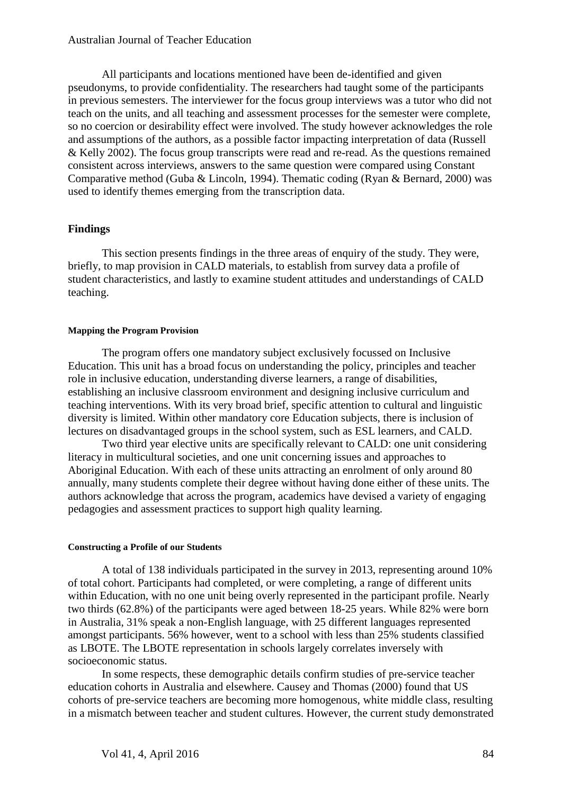All participants and locations mentioned have been de-identified and given pseudonyms, to provide confidentiality. The researchers had taught some of the participants in previous semesters. The interviewer for the focus group interviews was a tutor who did not teach on the units, and all teaching and assessment processes for the semester were complete, so no coercion or desirability effect were involved. The study however acknowledges the role and assumptions of the authors, as a possible factor impacting interpretation of data (Russell & Kelly 2002). The focus group transcripts were read and re-read. As the questions remained consistent across interviews, answers to the same question were compared using Constant Comparative method (Guba & Lincoln, 1994). Thematic coding (Ryan & Bernard, 2000) was used to identify themes emerging from the transcription data.

## **Findings**

This section presents findings in the three areas of enquiry of the study. They were, briefly, to map provision in CALD materials, to establish from survey data a profile of student characteristics, and lastly to examine student attitudes and understandings of CALD teaching.

#### **Mapping the Program Provision**

The program offers one mandatory subject exclusively focussed on Inclusive Education. This unit has a broad focus on understanding the policy, principles and teacher role in inclusive education, understanding diverse learners, a range of disabilities, establishing an inclusive classroom environment and designing inclusive curriculum and teaching interventions. With its very broad brief, specific attention to cultural and linguistic diversity is limited. Within other mandatory core Education subjects, there is inclusion of lectures on disadvantaged groups in the school system, such as ESL learners, and CALD.

Two third year elective units are specifically relevant to CALD: one unit considering literacy in multicultural societies, and one unit concerning issues and approaches to Aboriginal Education. With each of these units attracting an enrolment of only around 80 annually, many students complete their degree without having done either of these units. The authors acknowledge that across the program, academics have devised a variety of engaging pedagogies and assessment practices to support high quality learning.

#### **Constructing a Profile of our Students**

A total of 138 individuals participated in the survey in 2013, representing around 10% of total cohort. Participants had completed, or were completing, a range of different units within Education, with no one unit being overly represented in the participant profile. Nearly two thirds (62.8%) of the participants were aged between 18-25 years. While 82% were born in Australia, 31% speak a non-English language, with 25 different languages represented amongst participants. 56% however, went to a school with less than 25% students classified as LBOTE. The LBOTE representation in schools largely correlates inversely with socioeconomic status.

In some respects, these demographic details confirm studies of pre-service teacher education cohorts in Australia and elsewhere. Causey and Thomas (2000) found that US cohorts of pre-service teachers are becoming more homogenous, white middle class, resulting in a mismatch between teacher and student cultures. However, the current study demonstrated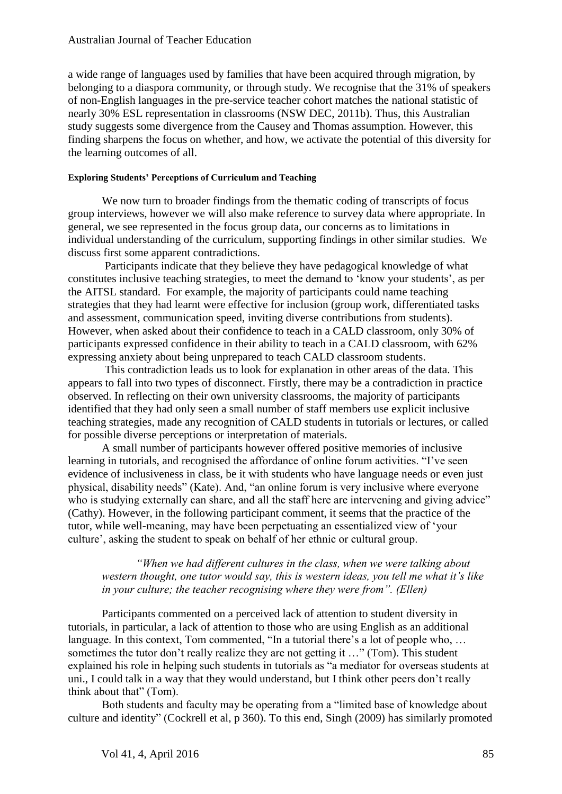a wide range of languages used by families that have been acquired through migration, by belonging to a diaspora community, or through study. We recognise that the 31% of speakers of non-English languages in the pre-service teacher cohort matches the national statistic of nearly 30% ESL representation in classrooms (NSW DEC, 2011b). Thus, this Australian study suggests some divergence from the Causey and Thomas assumption. However, this finding sharpens the focus on whether, and how, we activate the potential of this diversity for the learning outcomes of all.

#### **Exploring Students' Perceptions of Curriculum and Teaching**

We now turn to broader findings from the thematic coding of transcripts of focus group interviews, however we will also make reference to survey data where appropriate. In general, we see represented in the focus group data, our concerns as to limitations in individual understanding of the curriculum, supporting findings in other similar studies. We discuss first some apparent contradictions.

Participants indicate that they believe they have pedagogical knowledge of what constitutes inclusive teaching strategies, to meet the demand to 'know your students', as per the AITSL standard. For example, the majority of participants could name teaching strategies that they had learnt were effective for inclusion (group work, differentiated tasks and assessment, communication speed, inviting diverse contributions from students). However, when asked about their confidence to teach in a CALD classroom, only 30% of participants expressed confidence in their ability to teach in a CALD classroom, with 62% expressing anxiety about being unprepared to teach CALD classroom students.

This contradiction leads us to look for explanation in other areas of the data. This appears to fall into two types of disconnect. Firstly, there may be a contradiction in practice observed. In reflecting on their own university classrooms, the majority of participants identified that they had only seen a small number of staff members use explicit inclusive teaching strategies, made any recognition of CALD students in tutorials or lectures, or called for possible diverse perceptions or interpretation of materials.

A small number of participants however offered positive memories of inclusive learning in tutorials, and recognised the affordance of online forum activities. "I've seen evidence of inclusiveness in class, be it with students who have language needs or even just physical, disability needs" (Kate). And, "an online forum is very inclusive where everyone who is studying externally can share, and all the staff here are intervening and giving advice" (Cathy). However, in the following participant comment, it seems that the practice of the tutor, while well-meaning, may have been perpetuating an essentialized view of 'your culture', asking the student to speak on behalf of her ethnic or cultural group.

## *"When we had different cultures in the class, when we were talking about western thought, one tutor would say, this is western ideas, you tell me what it's like in your culture; the teacher recognising where they were from". (Ellen)*

Participants commented on a perceived lack of attention to student diversity in tutorials, in particular, a lack of attention to those who are using English as an additional language. In this context, Tom commented, "In a tutorial there's a lot of people who, ... sometimes the tutor don't really realize they are not getting it …" (Tom). This student explained his role in helping such students in tutorials as "a mediator for overseas students at uni., I could talk in a way that they would understand, but I think other peers don't really think about that" (Tom).

Both students and faculty may be operating from a "limited base of knowledge about culture and identity" (Cockrell et al, p 360). To this end, Singh (2009) has similarly promoted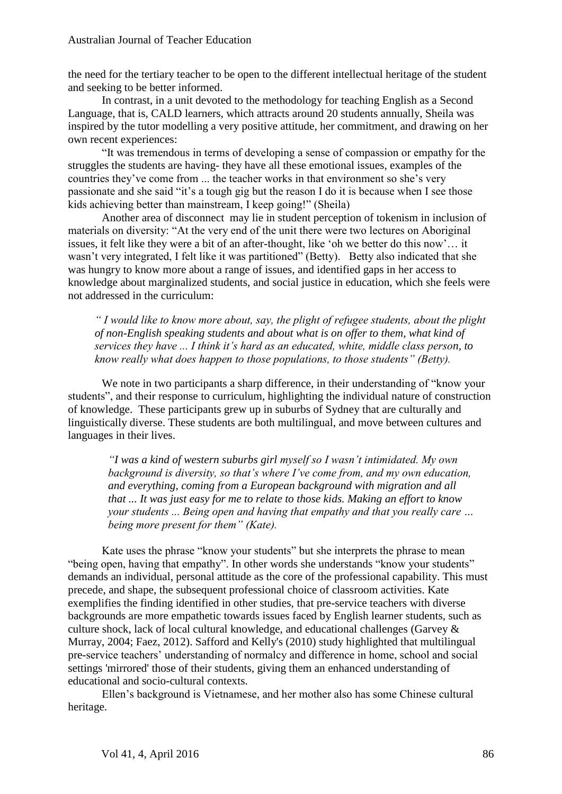the need for the tertiary teacher to be open to the different intellectual heritage of the student and seeking to be better informed.

In contrast, in a unit devoted to the methodology for teaching English as a Second Language, that is, CALD learners, which attracts around 20 students annually, Sheila was inspired by the tutor modelling a very positive attitude, her commitment, and drawing on her own recent experiences:

"It was tremendous in terms of developing a sense of compassion or empathy for the struggles the students are having- they have all these emotional issues, examples of the countries they've come from ... the teacher works in that environment so she's very passionate and she said "it's a tough gig but the reason I do it is because when I see those kids achieving better than mainstream, I keep going!" (Sheila)

Another area of disconnect may lie in student perception of tokenism in inclusion of materials on diversity: "At the very end of the unit there were two lectures on Aboriginal issues, it felt like they were a bit of an after-thought, like 'oh we better do this now'… it wasn't very integrated, I felt like it was partitioned" (Betty). Betty also indicated that she was hungry to know more about a range of issues, and identified gaps in her access to knowledge about marginalized students, and social justice in education, which she feels were not addressed in the curriculum:

*" I would like to know more about, say, the plight of refugee students, about the plight of non-English speaking students and about what is on offer to them, what kind of services they have ... I think it's hard as an educated, white, middle class person, to know really what does happen to those populations, to those students" (Betty).*

We note in two participants a sharp difference, in their understanding of "know your students", and their response to curriculum, highlighting the individual nature of construction of knowledge. These participants grew up in suburbs of Sydney that are culturally and linguistically diverse. These students are both multilingual, and move between cultures and languages in their lives.

*"I was a kind of western suburbs girl myself so I wasn't intimidated. My own background is diversity, so that's where I've come from, and my own education, and everything, coming from a European background with migration and all that ... It was just easy for me to relate to those kids. Making an effort to know your students ... Being open and having that empathy and that you really care … being more present for them" (Kate).*

Kate uses the phrase "know your students" but she interprets the phrase to mean "being open, having that empathy". In other words she understands "know your students" demands an individual, personal attitude as the core of the professional capability. This must precede, and shape, the subsequent professional choice of classroom activities. Kate exemplifies the finding identified in other studies, that pre-service teachers with diverse backgrounds are more empathetic towards issues faced by English learner students, such as culture shock, lack of local cultural knowledge, and educational challenges (Garvey & Murray, 2004; Faez, 2012). Safford and Kelly's (2010) study highlighted that multilingual pre-service teachers' understanding of normalcy and difference in home, school and social settings 'mirrored' those of their students, giving them an enhanced understanding of educational and socio-cultural contexts.

Ellen's background is Vietnamese, and her mother also has some Chinese cultural heritage.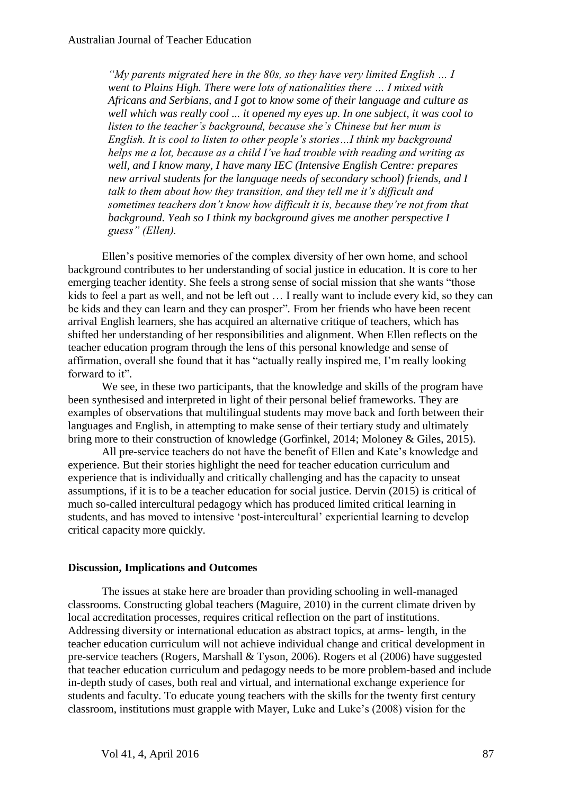*"My parents migrated here in the 80s, so they have very limited English … I went to Plains High. There were lots of nationalities there … I mixed with Africans and Serbians, and I got to know some of their language and culture as well which was really cool ... it opened my eyes up. In one subject, it was cool to listen to the teacher's background, because she's Chinese but her mum is English. It is cool to listen to other people's stories…I think my background helps me a lot, because as a child I've had trouble with reading and writing as well, and I know many, I have many IEC (Intensive English Centre: prepares new arrival students for the language needs of secondary school) friends, and I talk to them about how they transition, and they tell me it's difficult and sometimes teachers don't know how difficult it is, because they're not from that background. Yeah so I think my background gives me another perspective I guess" (Ellen).*

Ellen's positive memories of the complex diversity of her own home, and school background contributes to her understanding of social justice in education. It is core to her emerging teacher identity. She feels a strong sense of social mission that she wants "those kids to feel a part as well, and not be left out … I really want to include every kid, so they can be kids and they can learn and they can prosper"*.* From her friends who have been recent arrival English learners, she has acquired an alternative critique of teachers, which has shifted her understanding of her responsibilities and alignment. When Ellen reflects on the teacher education program through the lens of this personal knowledge and sense of affirmation, overall she found that it has "actually really inspired me, I'm really looking forward to it"*.* 

We see, in these two participants, that the knowledge and skills of the program have been synthesised and interpreted in light of their personal belief frameworks. They are examples of observations that multilingual students may move back and forth between their languages and English, in attempting to make sense of their tertiary study and ultimately bring more to their construction of knowledge (Gorfinkel, 2014; Moloney & Giles, 2015).

All pre-service teachers do not have the benefit of Ellen and Kate's knowledge and experience. But their stories highlight the need for teacher education curriculum and experience that is individually and critically challenging and has the capacity to unseat assumptions, if it is to be a teacher education for social justice. Dervin (2015) is critical of much so-called intercultural pedagogy which has produced limited critical learning in students, and has moved to intensive 'post-intercultural' experiential learning to develop critical capacity more quickly.

## **Discussion, Implications and Outcomes**

The issues at stake here are broader than providing schooling in well-managed classrooms. Constructing global teachers (Maguire, 2010) in the current climate driven by local accreditation processes, requires critical reflection on the part of institutions. Addressing diversity or international education as abstract topics, at arms- length, in the teacher education curriculum will not achieve individual change and critical development in pre-service teachers (Rogers, Marshall & Tyson, 2006). Rogers et al (2006) have suggested that teacher education curriculum and pedagogy needs to be more problem-based and include in-depth study of cases, both real and virtual, and international exchange experience for students and faculty. To educate young teachers with the skills for the twenty first century classroom, institutions must grapple with Mayer, Luke and Luke's (2008) vision for the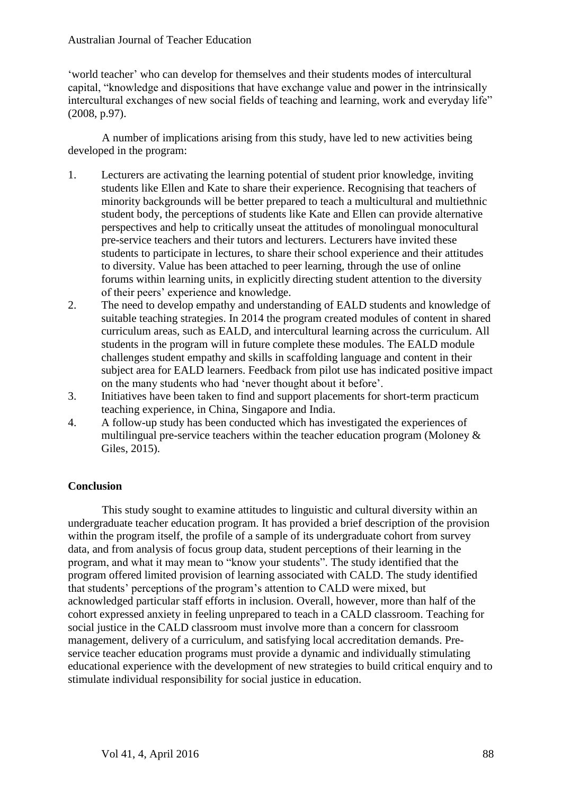'world teacher' who can develop for themselves and their students modes of intercultural capital, "knowledge and dispositions that have exchange value and power in the intrinsically intercultural exchanges of new social fields of teaching and learning, work and everyday life" (2008, p.97).

A number of implications arising from this study, have led to new activities being developed in the program:

- 1. Lecturers are activating the learning potential of student prior knowledge, inviting students like Ellen and Kate to share their experience. Recognising that teachers of minority backgrounds will be better prepared to teach a multicultural and multiethnic student body, the perceptions of students like Kate and Ellen can provide alternative perspectives and help to critically unseat the attitudes of monolingual monocultural pre-service teachers and their tutors and lecturers. Lecturers have invited these students to participate in lectures, to share their school experience and their attitudes to diversity. Value has been attached to peer learning, through the use of online forums within learning units, in explicitly directing student attention to the diversity of their peers' experience and knowledge.
- 2. The need to develop empathy and understanding of EALD students and knowledge of suitable teaching strategies. In 2014 the program created modules of content in shared curriculum areas, such as EALD, and intercultural learning across the curriculum. All students in the program will in future complete these modules. The EALD module challenges student empathy and skills in scaffolding language and content in their subject area for EALD learners. Feedback from pilot use has indicated positive impact on the many students who had 'never thought about it before'.
- 3. Initiatives have been taken to find and support placements for short-term practicum teaching experience, in China, Singapore and India.
- 4. A follow-up study has been conducted which has investigated the experiences of multilingual pre-service teachers within the teacher education program (Moloney  $\&$ Giles, 2015).

## **Conclusion**

This study sought to examine attitudes to linguistic and cultural diversity within an undergraduate teacher education program. It has provided a brief description of the provision within the program itself, the profile of a sample of its undergraduate cohort from survey data, and from analysis of focus group data, student perceptions of their learning in the program, and what it may mean to "know your students". The study identified that the program offered limited provision of learning associated with CALD. The study identified that students' perceptions of the program's attention to CALD were mixed, but acknowledged particular staff efforts in inclusion. Overall, however, more than half of the cohort expressed anxiety in feeling unprepared to teach in a CALD classroom. Teaching for social justice in the CALD classroom must involve more than a concern for classroom management, delivery of a curriculum, and satisfying local accreditation demands. Preservice teacher education programs must provide a dynamic and individually stimulating educational experience with the development of new strategies to build critical enquiry and to stimulate individual responsibility for social justice in education.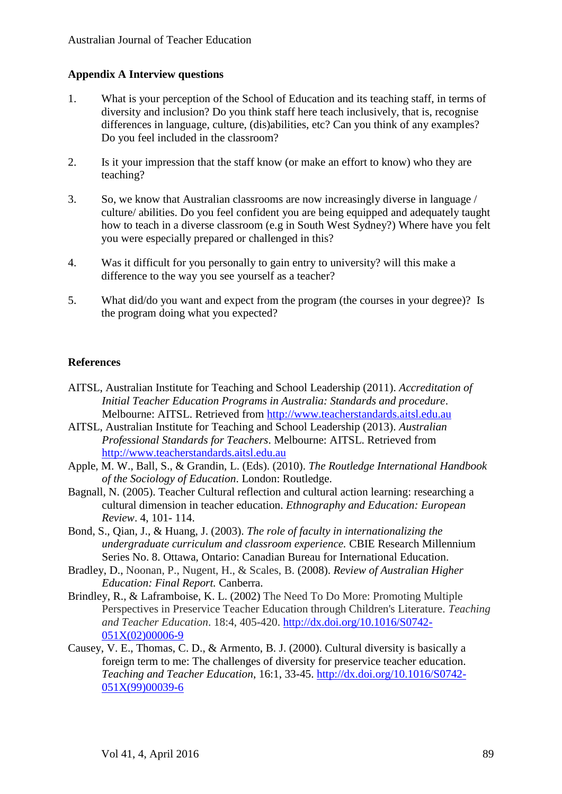## **Appendix A Interview questions**

- 1. What is your perception of the School of Education and its teaching staff, in terms of diversity and inclusion? Do you think staff here teach inclusively, that is, recognise differences in language, culture, (dis)abilities, etc? Can you think of any examples? Do you feel included in the classroom?
- 2. Is it your impression that the staff know (or make an effort to know) who they are teaching?
- 3. So, we know that Australian classrooms are now increasingly diverse in language / culture/ abilities. Do you feel confident you are being equipped and adequately taught how to teach in a diverse classroom (e.g in South West Sydney?) Where have you felt you were especially prepared or challenged in this?
- 4. Was it difficult for you personally to gain entry to university? will this make a difference to the way you see yourself as a teacher?
- 5. What did/do you want and expect from the program (the courses in your degree)? Is the program doing what you expected?

## **References**

- AITSL, Australian Institute for Teaching and School Leadership (2011). *Accreditation of Initial Teacher Education Programs in Australia: Standards and procedure*. Melbourne: AITSL. Retrieved from [http://www.teacherstandards.aitsl.edu.au](http://www.teacherstandards.aitsl.edu.au/)
- AITSL, Australian Institute for Teaching and School Leadership (2013). *Australian Professional Standards for Teachers*. Melbourne: AITSL. Retrieved from [http://www.teacherstandards.aitsl.edu.au](http://www.teacherstandards.aitsl.edu.au/)
- Apple, M. W., Ball, S., & Grandin, L. (Eds). (2010). *The Routledge International Handbook of the Sociology of Education*. London: Routledge.
- Bagnall, N. (2005). Teacher Cultural reflection and cultural action learning: researching a cultural dimension in teacher education. *Ethnography and Education: European Review*. 4, 101- 114.
- Bond, S., Qian, J., & Huang, J. (2003). *The role of faculty in internationalizing the undergraduate curriculum and classroom experience.* CBIE Research Millennium Series No. 8. Ottawa, Ontario: Canadian Bureau for International Education.
- Bradley, D., Noonan, P., Nugent, H., & Scales, B. (2008). *Review of Australian Higher Education: Final Report.* Canberra.
- Brindley, R., & Laframboise, K. L. (2002) The Need To Do More: Promoting Multiple Perspectives in Preservice Teacher Education through Children's Literature. *Teaching and Teacher Education*. 18:4, 405-420. [http://dx.doi.org/10.1016/S0742-](http://dx.doi.org/10.1016/S0742-051X(02)00006-9) [051X\(02\)00006-9](http://dx.doi.org/10.1016/S0742-051X(02)00006-9)
- Causey, V. E., Thomas, C. D., & Armento, B. J. (2000). Cultural diversity is basically a foreign term to me: The challenges of diversity for preservice teacher education. *Teaching and Teacher Education*, 16:1, 33-45. [http://dx.doi.org/10.1016/S0742-](http://dx.doi.org/10.1016/S0742-051X(99)00039-6) [051X\(99\)00039-6](http://dx.doi.org/10.1016/S0742-051X(99)00039-6)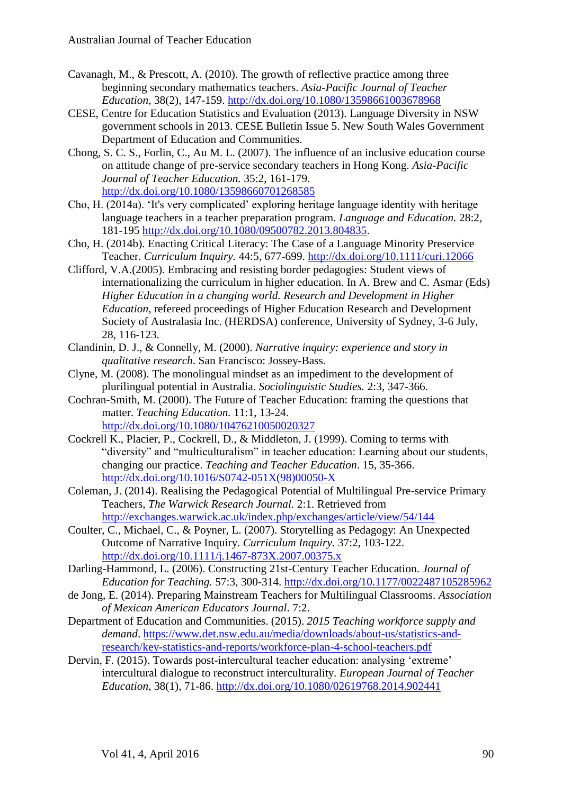- Cavanagh, M., & Prescott, A. (2010). The growth of reflective practice among three beginning secondary mathematics teachers. *Asia-Pacific Journal of Teacher Education*, 38(2), 147-159. <http://dx.doi.org/10.1080/13598661003678968>
- CESE, Centre for Education Statistics and Evaluation (2013). Language Diversity in NSW government schools in 2013. CESE Bulletin Issue 5. New South Wales Government Department of Education and Communities.
- Chong, S. C. S., Forlin, C., Au M. L. (2007). The influence of an inclusive education course on attitude change of pre-service secondary teachers in Hong Kong. *Asia-Pacific Journal of Teacher Education.* 35:2, 161-179. <http://dx.doi.org/10.1080/13598660701268585>
- Cho, H. (2014a). 'It's very complicated' exploring heritage language identity with heritage language teachers in a teacher preparation program. *Language and Education.* 28:2, 181-195 [http://dx.doi.org/10.1080/09500782.2013.804835.](http://dx.doi.org/10.1080/09500782.2013.804835)
- Cho, H. (2014b). Enacting Critical Literacy: The Case of a Language Minority Preservice Teacher. *Curriculum Inquiry.* 44:5, 677-699. <http://dx.doi.org/10.1111/curi.12066>
- Clifford, V.A.(2005). Embracing and resisting border pedagogies: Student views of internationalizing the curriculum in higher education. In A. Brew and C. Asmar (Eds) *Higher Education in a changing world. Research and Development in Higher Education*, refereed proceedings of Higher Education Research and Development Society of Australasia Inc. (HERDSA) conference, University of Sydney, 3-6 July, 28, 116-123.
- Clandinin, D. J., & Connelly, M. (2000). *Narrative inquiry: experience and story in qualitative research*. San Francisco: Jossey-Bass.
- Clyne, M. (2008). The monolingual mindset as an impediment to the development of plurilingual potential in Australia. *Sociolinguistic Studies.* 2:3, 347-366.
- Cochran-Smith, M. (2000). The Future of Teacher Education: framing the questions that matter. *Teaching Education.* 11:1, 13-24. <http://dx.doi.org/10.1080/10476210050020327>
- Cockrell K., Placier, P., Cockrell, D., & Middleton, J. (1999). Coming to terms with "diversity" and "multiculturalism" in teacher education: Learning about our students, changing our practice. *Teaching and Teacher Education*. 15, 35-366. [http://dx.doi.org/10.1016/S0742-051X\(98\)00050-X](http://dx.doi.org/10.1016/S0742-051X(98)00050-X)
- Coleman, J. (2014). Realising the Pedagogical Potential of Multilingual Pre-service Primary Teachers, *The Warwick Research Journal.* 2:1. Retrieved from <http://exchanges.warwick.ac.uk/index.php/exchanges/article/view/54/144>
- Coulter, C., Michael, C., & Poyner, L. (2007). Storytelling as Pedagogy: An Unexpected Outcome of Narrative Inquiry. *Curriculum Inquiry.* 37:2, 103-122. <http://dx.doi.org/10.1111/j.1467-873X.2007.00375.x>
- Darling-Hammond, L. (2006). Constructing 21st-Century Teacher Education. *Journal of Education for Teaching.* 57:3, 300-314.<http://dx.doi.org/10.1177/0022487105285962>
- de Jong, E. (2014). Preparing Mainstream Teachers for Multilingual Classrooms. *Association of Mexican American Educators Journal*. 7:2.
- Department of Education and Communities. (2015). *2015 Teaching workforce supply and demand*. [https://www.det.nsw.edu.au/media/downloads/about-us/statistics-and](https://www.det.nsw.edu.au/media/downloads/about-us/statistics-and-research/key-statistics-and-reports/workforce-plan-4-school-teachers.pdf)[research/key-statistics-and-reports/workforce-plan-4-school-teachers.pdf](https://www.det.nsw.edu.au/media/downloads/about-us/statistics-and-research/key-statistics-and-reports/workforce-plan-4-school-teachers.pdf)
- Dervin, F. (2015). Towards post-intercultural teacher education: analysing 'extreme' intercultural dialogue to reconstruct interculturality. *European Journal of Teacher Education*, 38(1), 71-86. <http://dx.doi.org/10.1080/02619768.2014.902441>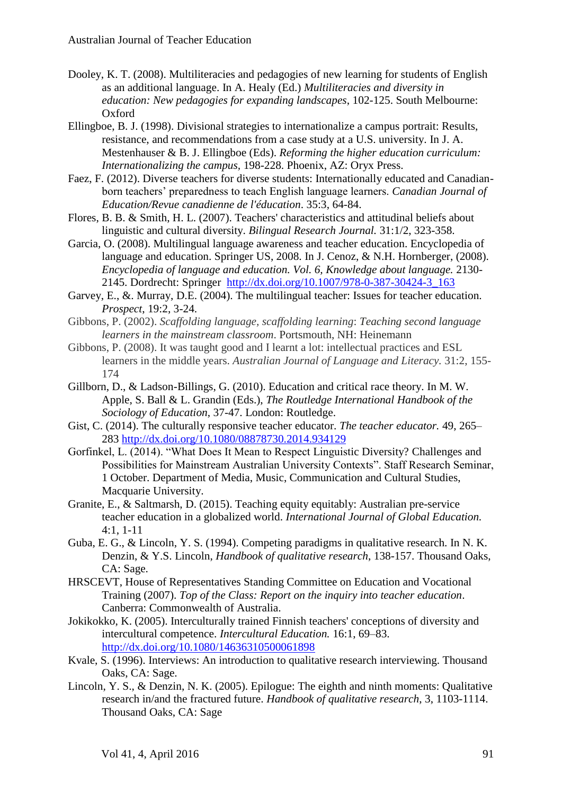- Dooley, K. T. (2008). Multiliteracies and pedagogies of new learning for students of English as an additional language. In A. Healy (Ed.) *Multiliteracies and diversity in education: New pedagogies for expanding landscapes*, 102-125. South Melbourne: Oxford
- Ellingboe, B. J. (1998). Divisional strategies to internationalize a campus portrait: Results, resistance, and recommendations from a case study at a U.S. university. In J. A. Mestenhauser & B. J. Ellingboe (Eds). *Reforming the higher education curriculum: Internationalizing the campus,* 198-228. Phoenix, AZ: Oryx Press.
- Faez, F. (2012). Diverse teachers for diverse students: Internationally educated and Canadianborn teachers' preparedness to teach English language learners. *Canadian Journal of Education/Revue canadienne de l'éducation*. 35:3, 64-84.
- Flores, B. B. & Smith, H. L. (2007). Teachers' characteristics and attitudinal beliefs about linguistic and cultural diversity. *Bilingual Research Journal.* 31:1/2, 323-358.
- Garcia, O. (2008). Multilingual language awareness and teacher education. Encyclopedia of language and education. Springer US, 2008. In J. Cenoz, & N.H. Hornberger, (2008). *Encyclopedia of language and education. Vol. 6, Knowledge about language.* 2130- 2145. Dordrecht: Springer [http://dx.doi.org/10.1007/978-0-387-30424-3\\_163](http://dx.doi.org/10.1007/978-0-387-30424-3_163)
- Garvey, E., &. Murray, D.E. (2004). The multilingual teacher: Issues for teacher education. *Prospect*, 19:2, 3-24.
- Gibbons, P. (2002). *Scaffolding language, scaffolding learning*: *Teaching second language learners in the mainstream classroom*. Portsmouth, NH: Heinemann
- Gibbons, P. (2008). It was taught good and I learnt a lot: intellectual practices and ESL learners in the middle years. *Australian Journal of Language and Literacy.* 31:2, 155- 174
- Gillborn, D., & Ladson-Billings, G. (2010). Education and critical race theory. In M. W. Apple, S. Ball & L. Grandin (Eds.), *The Routledge International Handbook of the Sociology of Education*, 37-47. London: Routledge.
- Gist, C. (2014). The culturally responsive teacher educator. *The teacher educator.* 49, 265– 283 <http://dx.doi.org/10.1080/08878730.2014.934129>
- Gorfinkel, L. (2014). "What Does It Mean to Respect Linguistic Diversity? Challenges and Possibilities for Mainstream Australian University Contexts". Staff Research Seminar, 1 October. Department of Media, Music, Communication and Cultural Studies, Macquarie University.
- Granite, E., & Saltmarsh, D. (2015). Teaching equity equitably: Australian pre-service teacher education in a globalized world. *International Journal of Global Education.*  4:1, 1-11
- Guba, E. G., & Lincoln, Y. S. (1994). Competing paradigms in qualitative research. In N. K. Denzin, & Y.S. Lincoln, *Handbook of qualitative research*, 138-157. Thousand Oaks, CA: Sage.
- HRSCEVT, House of Representatives Standing Committee on Education and Vocational Training (2007). *Top of the Class: Report on the inquiry into teacher education*. Canberra: Commonwealth of Australia.
- Jokikokko, K. (2005). Interculturally trained Finnish teachers' conceptions of diversity and intercultural competence. *Intercultural Education.* 16:1, 69–83. <http://dx.doi.org/10.1080/14636310500061898>
- Kvale, S. (1996). Interviews: An introduction to qualitative research interviewing. Thousand Oaks, CA: Sage.
- Lincoln, Y. S., & Denzin, N. K. (2005). Epilogue: The eighth and ninth moments: Qualitative research in/and the fractured future. *Handbook of qualitative research*, 3, 1103-1114. Thousand Oaks, CA: Sage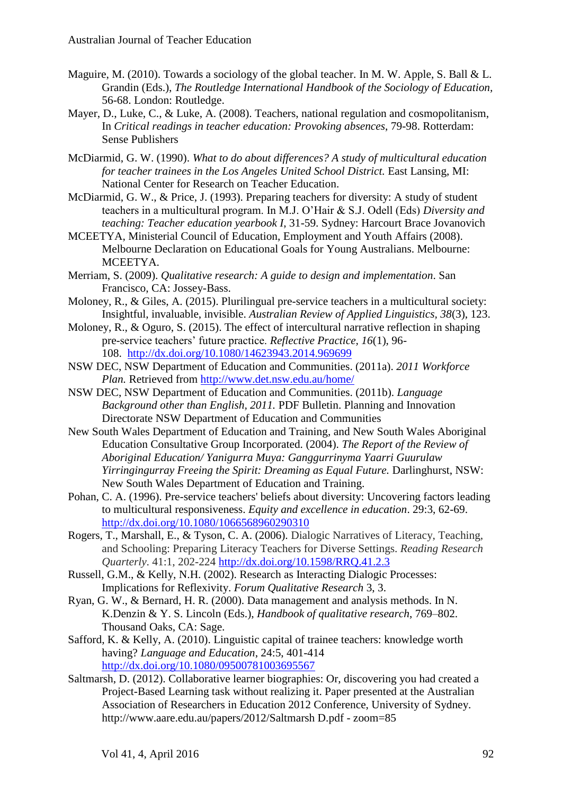- Maguire, M. (2010). Towards a sociology of the global teacher. In M. W. Apple, S. Ball & L. Grandin (Eds.), *The Routledge International Handbook of the Sociology of Education,* 56-68. London: Routledge.
- Mayer, D., Luke, C., & Luke, A. (2008). Teachers, national regulation and cosmopolitanism, In *Critical readings in teacher education: Provoking absences*, 79-98. Rotterdam: Sense Publishers
- McDiarmid, G. W. (1990). *What to do about differences? A study of multicultural education for teacher trainees in the Los Angeles United School District. East Lansing, MI:* National Center for Research on Teacher Education.
- McDiarmid, G. W., & Price, J. (1993). Preparing teachers for diversity: A study of student teachers in a multicultural program. In M.J. O'Hair & S.J. Odell (Eds) *Diversity and teaching: Teacher education yearbook I*, 31-59. Sydney: Harcourt Brace Jovanovich
- MCEETYA, Ministerial Council of Education, Employment and Youth Affairs (2008). Melbourne Declaration on Educational Goals for Young Australians. Melbourne: MCEETYA.
- Merriam, S. (2009). *Qualitative research: A guide to design and implementation*. San Francisco, CA: Jossey-Bass.
- Moloney, R., & Giles, A. (2015). Plurilingual pre-service teachers in a multicultural society: Insightful, invaluable, invisible. *Australian Review of Applied Linguistics, 38*(3), 123.
- Moloney, R., & Oguro, S. (2015). The effect of intercultural narrative reflection in shaping pre-service teachers' future practice. *Reflective Practice, 16*(1), 96- 108. <http://dx.doi.org/10.1080/14623943.2014.969699>
- NSW DEC, NSW Department of Education and Communities. (2011a). *2011 Workforce Plan.* Retrieved from<http://www.det.nsw.edu.au/home/>
- NSW DEC, NSW Department of Education and Communities. (2011b). *Language Background other than English, 2011.* PDF Bulletin. Planning and Innovation Directorate NSW Department of Education and Communities
- New South Wales Department of Education and Training, and New South Wales Aboriginal Education Consultative Group Incorporated. (2004). *The Report of the Review of Aboriginal Education/ Yanigurra Muya: Ganggurrinyma Yaarri Guurulaw Yirringingurray Freeing the Spirit: Dreaming as Equal Future.* Darlinghurst, NSW: New South Wales Department of Education and Training.
- Pohan, C. A. (1996). Pre-service teachers' beliefs about diversity: Uncovering factors leading to multicultural responsiveness. *Equity and excellence in education*. 29:3, 62-69. <http://dx.doi.org/10.1080/1066568960290310>
- Rogers, T., Marshall, E., & Tyson, C. A. (2006). Dialogic Narratives of Literacy, Teaching, and Schooling: Preparing Literacy Teachers for Diverse Settings. *Reading Research Quarterly*. 41:1, 202-224 <http://dx.doi.org/10.1598/RRQ.41.2.3>
- Russell, G.M., & Kelly, N.H. (2002). Research as Interacting Dialogic Processes: Implications for Reflexivity. *Forum Qualitative Research* 3, 3.
- Ryan, G. W., & Bernard, H. R. (2000). Data management and analysis methods. In N. K.Denzin & Y. S. Lincoln (Eds.), *Handbook of qualitative research*, 769–802. Thousand Oaks, CA: Sage.
- Safford, K. & Kelly, A. (2010). Linguistic capital of trainee teachers: knowledge worth having? *Language and Education*, 24:5, 401-414 <http://dx.doi.org/10.1080/09500781003695567>
- Saltmarsh, D. (2012). Collaborative learner biographies: Or, discovering you had created a Project-Based Learning task without realizing it. Paper presented at the Australian Association of Researchers in Education 2012 Conference, University of Sydney. http://www.aare.edu.au/papers/2012/Saltmarsh D.pdf - zoom=85